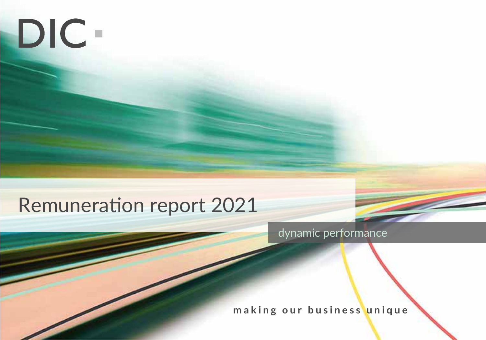# DIC-

## Remuneration report 2021

dynamic performance

**making our business unique**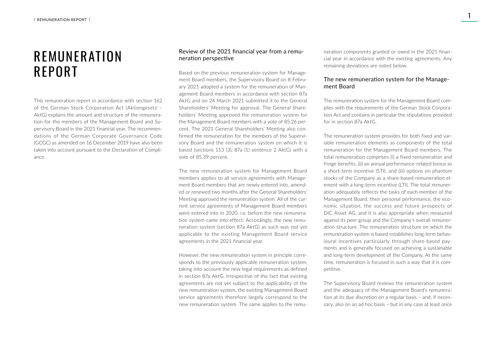### REMUNER ATION REPORT

This remuneration report in accordance with section 162 of the German Stock Corporation Act (Aktiengesetz – AktG) explains the amount and structure of the remuneration for the members of the Management Board and Supervisory Board in the 2021 financial year. The recommendations of the German Corporate Governance Code (GCGC) as amended on 16 December 2019 have also been taken into account pursuant to the Declaration of Compliance.

#### Review of the 2021 financial year from a remuneration perspective

Based on the previous remuneration system for Management Board members, the Supervisory Board on 8 February 2021 adopted a system for the remuneration of Management Board members in accordance with section 87a AktG and on 24 March 2021 submitted it to the General Shareholders' Meeting for approval. The General Shareholders' Meeting approved the remuneration system for the Management Board members with a vote of 85.26 percent. The 2021 General Shareholders' Meeting also confirmed the remuneration for the members of the Supervisory Board and the remuneration system on which it is based (sections 113 (3), 87a (1) sentence 2 AktG) with a vote of 85.39 percent.

The new remuneration system for Management Board members applies to all service agreements with Management Board members that are newly entered into, amended or renewed two months after the General Shareholders' Meeting approved the remuneration system. All of the current service agreements of Management Board members were entered into in 2020, i.e. before the new remuneration system came into effect. Accordingly, the new remuneration system (section 87a AktG) as such was not yet applicable to the existing Management Board service agreements in the 2021 financial year.

However, the new remuneration system in principle corresponds to the previously applicable remuneration system, taking into account the new legal requirements as defined in section 87a AktG. Irrespective of the fact that existing agreements are not yet subject to the applicability of the new remuneration system, the existing Management Board service agreements therefore largely correspond to the new remuneration system. The same applies to the remuneration components granted or owed in the 2021 financial year in accordance with the existing agreements. Any remaining deviations are noted below.

#### The new remuneration system for the Management Board

The remuneration system for the Management Board complies with the requirements of the German Stock Corporation Act and contains in particular the stipulations provided for in section 87a AktG.

The remuneration system provides for both fixed and variable remuneration elements as components of the total remuneration for the Management Board members. The total remuneration comprises (i) a fixed remuneration and fringe benefits, (ii) an annual performance-related bonus as a short-term incentive (STI), and (iii) options on phantom stocks of the Company as a share-based remuneration element with a long-term incentive (LTI). The total remuneration adequately reflects the tasks of each member of the Management Board, their personal performance, the economic situation, the success and future prospects of DIC Asset AG, and it is also appropriate when measured against its peer group and the Company's overall remuneration structure. The remuneration structure on which the remuneration system is based establishes long-term behavioural incentives particularly through share-based payments and is generally focused on achieving a sustainable and long-term development of the Company. At the same time, remuneration is focused in such a way that it is competitive.

The Supervisory Board reviews the remuneration system and the adequacy of the Management Board's remuneration at its due discretion on a regular basis – and, if necessary, also on an ad hoc basis – but in any case at least once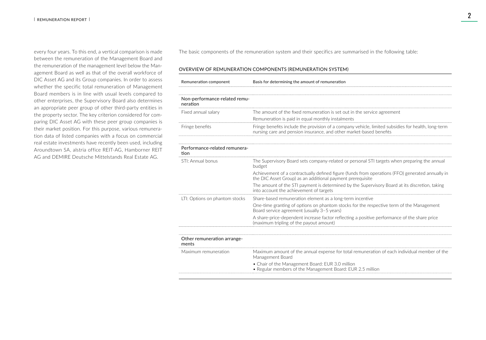every four years. To this end, a vertical comparison is made between the remuneration of the Management Board and the remuneration of the management level below the Management Board as well as that of the overall workforce of DIC Asset AG and its Group companies. In order to assess whether the specific total remuneration of Management Board members is in line with usual levels compared to other enterprises, the Supervisory Board also determines an appropriate peer group of other third-party entities in the property sector. The key criterion considered for comparing DIC Asset AG with these peer group companies is their market position. For this purpose, various remuneration data of listed companies with a focus on commercial real estate investments have recently been used, including Aroundtown SA, alstria office REIT-AG, Hamborner REIT AG and DEMIRE Deutsche Mittelstands Real Estate AG.

The basic components of the remuneration system and their specifics are summarised in the following table:

#### OVERVIEW OF REMUNERATION COMPONENTS (REMUNERATION SYSTEM)

| Remuneration component                    | Basis for determining the amount of remuneration                                                                                                                           |  |  |  |  |
|-------------------------------------------|----------------------------------------------------------------------------------------------------------------------------------------------------------------------------|--|--|--|--|
|                                           |                                                                                                                                                                            |  |  |  |  |
| Non-performance-related remu-<br>neration |                                                                                                                                                                            |  |  |  |  |
| Fixed annual salary                       | The amount of the fixed remuneration is set out in the service agreement                                                                                                   |  |  |  |  |
|                                           | Remuneration is paid in equal monthly instalments                                                                                                                          |  |  |  |  |
| Fringe benefits                           | Fringe benefits include the provision of a company vehicle, limited subsidies for health, long-term<br>nursing care and pension insurance, and other market-based benefits |  |  |  |  |
|                                           |                                                                                                                                                                            |  |  |  |  |
| Performance-related remunera-<br>tion     |                                                                                                                                                                            |  |  |  |  |
| STI: Annual bonus                         | The Supervisory Board sets company-related or personal STI targets when preparing the annual<br>budget                                                                     |  |  |  |  |
|                                           | Achievement of a contractually defined figure (funds from operations (FFO) generated annually in<br>the DIC Asset Group) as an additional payment prerequisite             |  |  |  |  |
|                                           | The amount of the STI payment is determined by the Supervisory Board at its discretion, taking<br>into account the achievement of targets                                  |  |  |  |  |
| LTI: Options on phantom stocks            | Share-based remuneration element as a long-term incentive                                                                                                                  |  |  |  |  |
|                                           | One-time granting of options on phantom stocks for the respective term of the Management<br>Board service agreement (usually 3-5 years)                                    |  |  |  |  |
|                                           | A share-price-dependent increase factor reflecting a positive performance of the share price<br>(maximum tripling of the payout amount)                                    |  |  |  |  |
|                                           |                                                                                                                                                                            |  |  |  |  |
| Other remuneration arrange-<br>ments      |                                                                                                                                                                            |  |  |  |  |
| Maximum remuneration                      | Maximum amount of the annual expense for total remuneration of each individual member of the<br>Management Board                                                           |  |  |  |  |
|                                           | • Chair of the Management Board: EUR 3.0 million<br>• Regular members of the Management Board: EUR 2.5 million                                                             |  |  |  |  |
|                                           |                                                                                                                                                                            |  |  |  |  |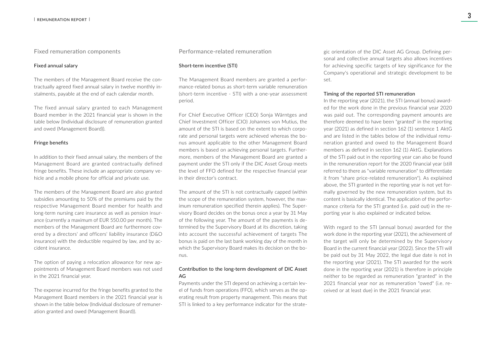Fixed remuneration components

#### Fixed annual salary

The members of the Management Board receive the contractually agreed fixed annual salary in twelve monthly instalments, payable at the end of each calendar month.

The fixed annual salary granted to each Management Board member in the 2021 financial year is shown in the table below (Individual disclosure of remuneration granted and owed (Management Board)).

#### Fringe benefits

In addition to their fixed annual salary, the members of the Management Board are granted contractually defined fringe benefits. These include an appropriate company vehicle and a mobile phone for official and private use.

The members of the Management Board are also granted subsidies amounting to 50% of the premiums paid by the respective Management Board member for health and long-term nursing care insurance as well as pension insurance (currently a maximum of EUR 550.00 per month). The members of the Management Board are furthermore covered by a directors' and officers' liability insurance (D&O insurance) with the deductible required by law, and by accident insurance.

The option of paying a relocation allowance for new appointments of Management Board members was not used in the 2021 financial year.

The expense incurred for the fringe benefits granted to the Management Board members in the 2021 financial year is shown in the table below (Individual disclosure of remuneration granted and owed (Management Board)).

#### Performance-related remuneration

#### Short-term incentive (STI)

The Management Board members are granted a performance-related bonus as short-term variable remuneration (short-term incentive - STI) with a one-year assessment period.

For Chief Executive Officer (CEO) Sonja Wärntges and Chief Investment Officer (CIO) Johannes von Mutius, the amount of the STI is based on the extent to which corporate and personal targets were achieved whereas the bonus amount applicable to the other Management Board members is based on achieving personal targets. Furthermore, members of the Management Board are granted a payment under the STI only if the DIC Asset Group meets the level of FFO defined for the respective financial year in their director's contract.

The amount of the STI is not contractually capped (within the scope of the remuneration system, however, the maximum remuneration specified therein applies). The Supervisory Board decides on the bonus once a year by 31 May of the following year. The amount of the payments is determined by the Supervisory Board at its discretion, taking into account the successful achievement of targets The bonus is paid on the last bank working day of the month in which the Supervisory Board makes its decision on the bonus.

#### Contribution to the long-term development of DIC Asset AG

Payments under the STI depend on achieving a certain level of funds from operations (FFO), which serves as the operating result from property management. This means that STI is linked to a key performance indicator for the strategic orientation of the DIC Asset AG Group. Defining personal and collective annual targets also allows incentives for achieving specific targets of key significance for the Company's operational and strategic development to be set.

#### Timing of the reported STI remuneration

In the reporting year (2021), the STI (annual bonus) awarded for the work done in the previous financial year 2020 was paid out. The corresponding payment amounts are therefore deemed to have been "granted" in the reporting year (2021) as defined in section 162 (1) sentence 1 AktG and are listed in the tables below of the individual remuneration granted and owed to the Management Board members as defined in section 162 (1) AktG. Explanations of the STI paid out in the reporting year can also be found in the remuneration report for the 2020 financial year (still referred to there as "variable remuneration" to differentiate it from "share price-related remuneration"). As explained above, the STI granted in the reporting year is not yet formally governed by the new remuneration system, but its content is basically identical. The application of the performance criteria for the STI granted (i.e. paid out) in the reporting year is also explained or indicated below.

With regard to the STI (annual bonus) awarded for the work done in the reporting year (2021), the achievement of the target will only be determined by the Supervisory Board in the current financial year (2022). Since the STI will be paid out by 31 May 2022, the legal due date is not in the reporting year (2021). The STI awarded for the work done in the reporting year (2021) is therefore in principle neither to be regarded as remuneration "granted" in the 2021 financial year nor as remuneration "owed" (i.e. received or at least due) in the 2021 financial year.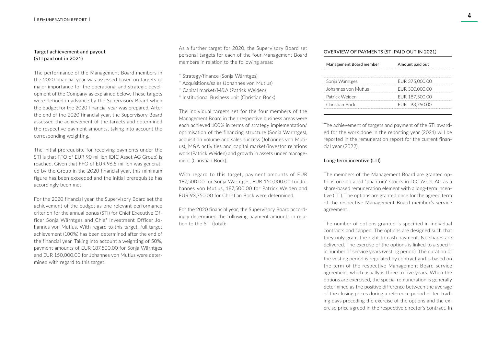#### Target achievement and payout (STI paid out in 2021)

The performance of the Management Board members in the 2020 financial year was assessed based on targets of major importance for the operational and strategic development of the Company as explained below. These targets were defined in advance by the Supervisory Board when the budget for the 2020 financial year was prepared. After the end of the 2020 financial year, the Supervisory Board assessed the achievement of the targets and determined the respective payment amounts, taking into account the corresponding weighting.

The initial prerequisite for receiving payments under the STI is that FFO of EUR 90 million (DIC Asset AG Group) is reached. Given that FFO of EUR 96.5 million was generated by the Group in the 2020 financial year, this minimum figure has been exceeded and the initial prerequisite has accordingly been met.

For the 2020 financial year, the Supervisory Board set the achievement of the budget as one relevant performance criterion for the annual bonus (STI) for Chief Executive Officer Sonja Wärntges and Chief Investment Officer Johannes von Mutius. With regard to this target, full target achievement (100%) has been determined after the end of the financial year. Taking into account a weighting of 50%, payment amounts of EUR 187,500.00 for Sonja Wärntges and EUR 150,000.00 for Johannes von Mutius were determined with regard to this target.

As a further target for 2020, the Supervisory Board set personal targets for each of the four Management Board members in relation to the following areas:

- \* Strategy/finance (Sonja Wärntges)
- \* Acquisitions/sales (Johannes von Mutius)
- \* Capital market/M&A (Patrick Weiden)
- \* Institutional Business unit (Christian Bock)

The individual targets set for the four members of the Management Board in their respective business areas were each achieved 100% in terms of strategy implementation/ optimisation of the financing structure (Sonja Wärntges), acquisition volume and sales success (Johannes von Mutius), M&A activities and capital market/investor relations work (Patrick Weiden) and growth in assets under management (Christian Bock).

With regard to this target, payment amounts of EUR 187,500.00 for Sonja Wärntges, EUR 150,000.00 for Johannes von Mutius, 187,500.00 for Patrick Weiden and EUR 93,750.00 for Christian Bock were determined.

For the 2020 financial year, the Supervisory Board accordingly determined the following payment amounts in relation to the STI (total):

#### OVERVIEW OF PAYMENTS (STI PAID OUT IN 2021)

| Management Board member | Amount paid out |
|-------------------------|-----------------|
| Sonja Wärntges          | EUR 375,000.00  |
| Johannes von Mutius     | EUR 300,000.00  |
| Patrick Weiden          | EUR 187,500.00  |
| Christian Bock          | EUR 93,750.00   |
|                         |                 |

The achievement of targets and payment of the STI awarded for the work done in the reporting year (2021) will be reported in the remuneration report for the current financial year (2022).

#### Long-term incentive (LTI)

The members of the Management Board are granted options on so-called "phantom" stocks in DIC Asset AG as a share-based remuneration element with a long-term incentive (LTI). The options are granted once for the agreed term of the respective Management Board member's service agreement.

The number of options granted is specified in individual contracts and capped. The options are designed such that they only grant the right to cash payment. No shares are delivered. The exercise of the options is linked to a specific number of service years (vesting period). The duration of the vesting period is regulated by contract and is based on the term of the respective Management Board service agreement, which usually is three to five years. When the options are exercised, the special remuneration is generally determined as the positive difference between the average of the closing prices during a reference period of ten trading days preceding the exercise of the options and the exercise price agreed in the respective director's contract. In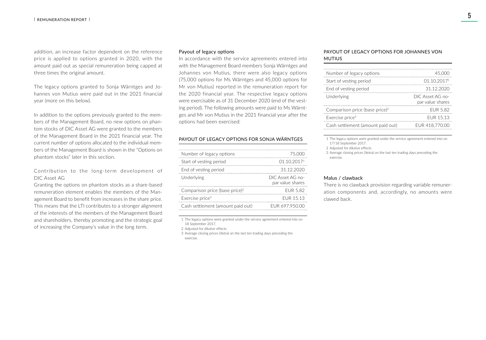addition, an increase factor dependent on the reference price is applied to options granted in 2020, with the amount paid out as special remuneration being capped at three times the original amount.

The legacy options granted to Sonja Wärntges and Johannes von Mutius were paid out in the 2021 financial year (more on this below).

In addition to the options previously granted to the members of the Management Board, no new options on phantom stocks of DIC Asset AG were granted to the members of the Management Board in the 2021 financial year. The current number of options allocated to the individual members of the Management Board is shown in the "Options on phantom stocks" later in this section.

Contribution to the long-term development of DIC Asset AG

Granting the options on phantom stocks as a share-based remuneration element enables the members of the Management Board to benefit from increases in the share price. This means that the LTI contributes to a stronger alignment of the interests of the members of the Management Board and shareholders, thereby promoting and the strategic goal of increasing the Company's value in the long term.

#### Payout of legacy options

In accordance with the service agreements entered into with the Management Board members Sonja Wärntges and Johannes von Mutius, there were also legacy options (75,000 options for Ms Wärntges and 45,000 options for Mr von Mutius) reported in the remuneration report for the 2020 financial year. The respective legacy options were exercisable as of 31 December 2020 (end of the vesting period). The following amounts were paid to Ms Wärntges and Mr von Mutius in the 2021 financial year after the options had been exercised:

#### PAYOUT OF LEGACY OPTIONS FOR SONJA WÄRNTGES

| Number of legacy options                   | 75.000                               |
|--------------------------------------------|--------------------------------------|
| Start of vesting period                    | 01.10.20171                          |
| End of vesting period                      | 31 12 2020                           |
| Underlving                                 | DIC Asset AG no-<br>par value shares |
| Comparison price (base price) <sup>2</sup> | <b>FUR 582</b>                       |
| Exercise price <sup>3</sup>                | FUR 15 13                            |
| Cash settlement (amount paid out)          | EUR 697,950.00                       |
|                                            |                                      |

1 The legacy options were granted under the service agreement entered into on 18 September 2017.

2 Adjusted for dilutive effects

3 Average closing prices (Xetra) on the last ten trading days preceding the exercise.

#### PAYOUT OF LEGACY OPTIONS FOR JOHANNES VON MUTIUS

| 011020171                            |
|--------------------------------------|
| 31 12 2020                           |
| DIC Asset AG no-<br>par value shares |
| <b>FUR 582</b>                       |
| FUR 15 13                            |
| EUR 418.770.00                       |
|                                      |

1 The legacy options were granted under the service agreement entered into on 17/18 September 2017.

2 Adjusted for dilutive effects

3 Average closing prices (Xetra) on the last ten trading days preceding the exercise.

#### Malus / clawback

There is no clawback provision regarding variable remuneration components and, accordingly, no amounts were clawed back.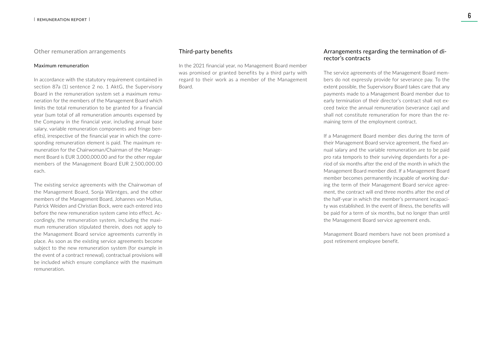Other remuneration arrangements

#### Maximum remuneration

In accordance with the statutory requirement contained in section 87a (1) sentence 2 no. 1 AktG, the Supervisory Board in the remuneration system set a maximum remuneration for the members of the Management Board which limits the total remuneration to be granted for a financial year (sum total of all remuneration amounts expensed by the Company in the financial year, including annual base salary, variable remuneration components and fringe benefits), irrespective of the financial year in which the corresponding remuneration element is paid. The maximum remuneration for the Chairwoman/Chairman of the Management Board is EUR 3,000,000.00 and for the other regular members of the Management Board EUR 2,500,000.00 each.

The existing service agreements with the Chairwoman of the Management Board, Sonja Wärntges, and the other members of the Management Board, Johannes von Mutius, Patrick Weiden and Christian Bock, were each entered into before the new remuneration system came into effect. Accordingly, the remuneration system, including the maximum remuneration stipulated therein, does not apply to the Management Board service agreements currently in place. As soon as the existing service agreements become subject to the new remuneration system (for example in the event of a contract renewal), contractual provisions will be included which ensure compliance with the maximum remuneration.

#### Third-party benefits

In the 2021 financial year, no Management Board member was promised or granted benefits by a third party with regard to their work as a member of the Management Board.

#### Arrangements regarding the termination of director's contracts

The service agreements of the Management Board members do not expressly provide for severance pay. To the extent possible, the Supervisory Board takes care that any payments made to a Management Board member due to early termination of their director's contract shall not exceed twice the annual remuneration (severance cap) and shall not constitute remuneration for more than the remaining term of the employment contract.

If a Management Board member dies during the term of their Management Board service agreement, the fixed annual salary and the variable remuneration are to be paid pro rata temporis to their surviving dependants for a period of six months after the end of the month in which the Management Board member died. If a Management Board member becomes permanently incapable of working during the term of their Management Board service agreement, the contract will end three months after the end of the half-year in which the member's permanent incapacity was established. In the event of illness, the benefits will be paid for a term of six months, but no longer than until the Management Board service agreement ends.

Management Board members have not been promised a post retirement employee benefit.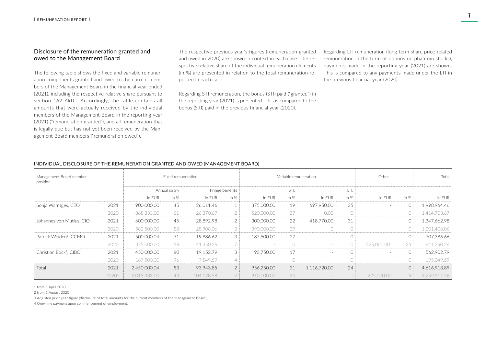#### Disclosure of the remuneration granted and owed to the Management Board

The following table shows the fixed and variable remuneration components granted and owed to the current members of the Management Board in the financial year ended (2021), including the respective relative share pursuant to section 162 AktG. Accordingly, the table contains all amounts that were actually received by the individual members of the Management Board in the reporting year (2021) ("remuneration granted"), and all remuneration that is legally due but has not yet been received by the Management Board members ("remuneration owed").

The respective previous year's figures (remuneration granted and owed in 2020) are shown in context in each case. The respective relative share of the individual remuneration elements (in %) are presented in relation to the total remuneration reported in each case.

Regarding STI remuneration, the bonus (STI) paid ("granted") in the reporting year (2021) is presented. This is compared to the bonus (STI) paid in the previous financial year (2020).

Regarding LTI remuneration (long-term share price-related remuneration in the form of options on phantom stocks), payments made in the reporting year (2021) are shown. This is compared to any payments made under the LTI in the previous financial year (2020).

| INDIVIDUAL DISCLOSUNE OF THE NEMONENATION GNANTED AND OWED (MANAGEMENT DOAND). |                   |                    |               |            |                 |                       |         |              |            |             |        |              |
|--------------------------------------------------------------------------------|-------------------|--------------------|---------------|------------|-----------------|-----------------------|---------|--------------|------------|-------------|--------|--------------|
| Management Board member,<br>position                                           |                   | Fixed remuneration |               |            |                 | Variable remuneration |         |              |            | Other       |        | Total        |
|                                                                                |                   |                    | Annual salary |            | Fringe benefits |                       | STI:    |              | LTI:       |             |        |              |
|                                                                                |                   | in EUR             | in $%$        | in EUR     | in $%$          | in EUR                | in $%$  | in EUR       | in $%$     | in EUR      | in $%$ | in EUR       |
| Sonja Wärntges, CEO                                                            | 2021              | 900,000.00         | 45            | 26,011.46  |                 | 375,000.00            | 19      | 697,950.00   | 35         |             |        | 1,998,964.46 |
|                                                                                | 2020              | 868,333.00         | 61            | 26,370.67  | $\overline{2}$  | 520,000,00            | 37      | 0.00         | $\bigcirc$ |             |        | 1,414,703.67 |
| Johannes von Mutius, CIO                                                       | 2021              | 600.000.00         | 45            | 28.892.98  | $\overline{2}$  | 300,000,00            | 22      | 418,770.00   | 31         |             |        | 1,347,662.98 |
|                                                                                | 2020              | 582,500.00         | 58            | 28,908.06  | 3               | 390,000,00            | 39      | $\bigcap$    | $\bigcirc$ |             |        | 1,001,408.06 |
| Patrick Weiden <sup>1</sup> , CCMO                                             | 2021              | 500,000.04         | 71            | 19,886.62  | 3               | 187,500.00            | 27      |              | $\bigcirc$ |             |        | 707,386.66   |
|                                                                                | 2020              | 375,000.00         | 58            | 41,350.26  |                 |                       | $\circ$ |              | $\bigcap$  | 225,000.004 | 35     | 641,350.26   |
| Christian Bock <sup>2</sup> , CIBO                                             | 2021              | 450,000.00         | 80            | 19,152.79  | 3               | 93,750.00             | 17      |              | $\bigcap$  |             |        | 562,902.79   |
|                                                                                | 2020              | 187,500.00         | 96            | 7.549.59   |                 |                       | $\circ$ |              |            |             |        | 195.049.59   |
| Total                                                                          | 2021              | 2,450,000.04       | 53            | 93,943.85  | 2               | 956,250.00            | 21      | 1,116,720.00 | 24         |             |        | 4,616,913.89 |
|                                                                                | 2020 <sup>3</sup> | 2,013,333.00       | 44            | 104,178.58 |                 | 910,000.00            | 20      |              |            | 225,000.00  |        | 3,252,511.58 |
|                                                                                |                   |                    |               |            |                 |                       |         |              |            |             |        |              |

#### INDIVIDUAL DISCLOSURE OF THE REMUNERATION GRANTED AND OWED (MANAGEMENT BOARD)

1 from 1 April 2020

2 from 1 August 2020

3 Adjusted prior-year figure (disclosure of total amounts for the current members of the Management Board)

4 One-time payment upon commencement of employment.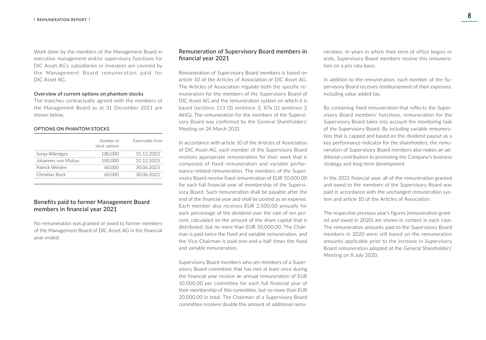Work done by the members of the Management Board in executive management and/or supervisory functions for DIC Asset AG's subsidiaries or investees are covered by the Management Board remuneration paid for DIC Asset AG.

#### Overview of current options on phantom stocks

The tranches contractually agreed with the members of the Management Board as at 31 December 2021 are shown below.

#### OPTIONS ON PHANTOM STOCKS

|                     | Number of<br>stock options | Exercisable from |
|---------------------|----------------------------|------------------|
| Sonja Wärntges      | 180.000                    | 31 12 2023       |
| Johannes von Mutius | 100.000                    | 31 12 2023       |
| Patrick Weiden      | 60 000                     | 30.06.2023       |
| Christian Bock      |                            | 30.06.2023       |

#### Benefits paid to former Management Board members in financial year 2021

No remuneration was granted or owed to former members of the Management Board of DIC Asset AG in the financial year ended.

#### Remuneration of Supervisory Board members in financial year 2021

Remuneration of Supervisory Board members is based on article 10 of the Articles of Association of DIC Asset AG. The Articles of Association regulate both the specific remuneration for the members of the Supervisory Board of DIC Asset AG and the remuneration system on which it is based (sections 113 (3) sentence 3, 87a (1) sentence 2 AktG). The remuneration for the members of the Supervisory Board was confirmed by the General Shareholders' Meeting on 24 March 2021.

In accordance with article 10 of the Articles of Association of DIC Asset AG, each member of the Supervisory Board receives appropriate remuneration for their work that is composed of fixed remuneration and variable performance-related remuneration. The members of the Supervisory Board receive fixed remuneration of EUR 50,000.00 for each full financial year of membership of the Supervisory Board. Such remuneration shall be payable after the end of the financial year and shall be posted as an expense. Each member also receives EUR 2,500.00 annually for each percentage of the dividend over the rate of ten percent, calculated on the amount of the share capital that is distributed, but no more than EUR 50,000.00. The Chairman is paid twice the fixed and variable remuneration, and the Vice Chairman is paid one-and-a-half times the fixed and variable remuneration.

Supervisory Board members who are members of a Supervisory Board committee that has met at least once during the financial year receive an annual remuneration of EUR 10,000.00 per committee for each full financial year of their membership of this committee, but no more than EUR 20,000.00 in total. The Chairman of a Supervisory Board committee receives double this amount of additional remuneration. In years in which their term of office begins or ends, Supervisory Board members receive this remuneration on a pro rata basis.

In addition to the remuneration, each member of the Supervisory Board receives reimbursement of their expenses, including value added tax.

By containing fixed remuneration that reflects the Supervisory Board members' functions, remuneration for the Supervisory Board takes into account the monitoring task of the Supervisory Board. By including variable remuneration that is capped and based on the dividend payout as a key performance indicator for the shareholders, the remuneration of Supervisory Board members also makes an additional contribution to promoting the Company's business strategy and long-term development.

In the 2021 financial year, all of the remuneration granted and owed to the members of the Supervisory Board was paid in accordance with the unchanged remuneration system and article 10 of the Articles of Association.

The respective previous year's figures (remuneration granted and owed in 2020) are shown in context in each case. The remuneration amounts paid to the Supervisory Board members in 2020 were still based on the remuneration amounts applicable prior to the increase in Supervisory Board remuneration adopted at the General Shareholders' Meeting on 8 July 2020.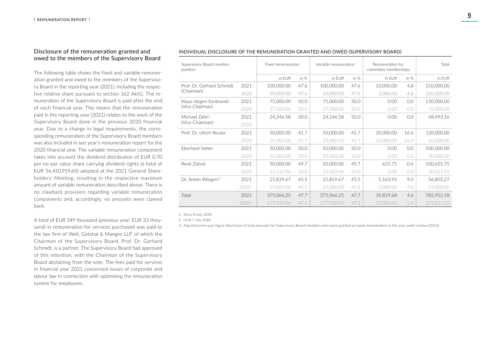#### Disclosure of the remuneration granted and owed to the members of the Supervisory Board

The following table shows the fixed and variable remuneration granted and owed to the members of the Supervisory Board in the reporting year (2021), including the respective relative share pursuant to section 162 AktG. The remuneration of the Supervisory Board is paid after the end of each financial year. This means that the remuneration paid in the reporting year (2021) relates to the work of the Supervisory Board done in the previous 2020 financial year. Due to a change in legal requirements, the corresponding remuneration of the Supervisory Board members was also included in last year's remuneration report for the 2020 financial year. The variable remuneration component takes into account the dividend distribution of EUR 0.70 per no-par value share carrying dividend rights (a total of EUR 56,410,919.60) adopted at the 2021 General Shareholders' Meeting, resulting in the respective maximum amount of variable remuneration described above. There is no clawback provision regarding variable remuneration components and, accordingly, no amounts were clawed back.

A total of EUR 149 thousand (previous year: EUR 33 thousand) in remuneration for services purchased was paid to the law firm of Weil, Gotshal & Manges LLP, of which the Chairman of the Supervisory Board, Prof. Dr. Gerhard Schmidt, is a partner. The Supervisory Board had approved of this retention, with the Chairman of the Supervisory Board abstaining from the vote. The fees paid for services in financial year 2021 concerned issues of corporate and labour law in connection with optimising the remuneration system for employees.

| Supervisory Board member,<br>position |                   | Fixed remuneration |        | Variable remuneration |        | Remuneration for<br>committee memberships | Total  |            |
|---------------------------------------|-------------------|--------------------|--------|-----------------------|--------|-------------------------------------------|--------|------------|
|                                       |                   | in FUR             | in $%$ | in FUR                | in $%$ | in FUR                                    | in $%$ | in EUR     |
| Prof. Dr. Gerhard Schmidt             | 2021              | 100,000,00         | 47.6   | 100,000.00            | 47.6   | 10.000.00                                 | 4.8    | 210,000.00 |
| (Chairman)                            | 2020              | 50,000.00          | 47.6   | 50,000.00             | 47.6   | 5,000.00                                  | 4.8    | 105,000.00 |
| Klaus-Jürgen Sontowski                | 2021              | 75,000.00          | 50.0   | 75,000.00             | 50.0   | 0.00                                      | 0.0    | 150,000.00 |
| (Vice Chairman)                       | 2020              | 37,500.00          | 50.0   | 37,500.00             | 50.0   | 0.00                                      | (0,0)  | 75,000.00  |
| Michael Zahn <sup>1</sup>             | 2021              | 24.246.58          | 50.0   | 24,246.58             | 50.0   | 0.00                                      | 0.0    | 48,493.16  |
| (Vice-Chairman)                       | 2020              |                    |        |                       |        |                                           |        |            |
| Prof. Dr. Ulrich Reuter               | 2021              | 50,000,00          | 41.7   | 50,000,00             | 41.7   | 20,000.00                                 | 16.6   | 120,000.00 |
|                                       | 2020              | 25,000,00          | 41.7   | 25,000,00             | 41.7   | 10.000.00                                 | 16.6   | 60.000.00  |
| <b>Eberhard Vetter</b>                | 2021              | 50,000,00          | 50.0   | 50,000,00             | 50.0   | 0.00                                      | 0.0    | 100,000.00 |
|                                       | 2020              | 25,000.00          | 50.0   | 25,000,00             | 50.0   | 0.00                                      | 0.0    | 50,000,00  |
| René Zahnd                            | 2021              | 50,000,00          | 49.7   | 50,000,00             | 49.7   | 655.75                                    | 0.6    | 100,655.75 |
|                                       | 2020              | 15.410.96          | 50.0   | 15,410.96             | 50.0   | 0.00                                      | (0,0)  | 30.821.92  |
| Dr. Anton Wiegers <sup>2</sup>        | 2021              | 25,819.67          | 45.5   | 25,819.67             | 45.5   | 5,163.93                                  | 9.0    | 56,803.27  |
|                                       | 2020 <sup>2</sup> | 25,000.00          | 45.5   | 25,000.00             | 45.5   | 5,000.00                                  | 9.0    | 55,000.00  |
| Total                                 | 2021              | 375,066.25         | 47.7   | 375,066.25            | 47.7   | 35,819.68                                 | 4.6    | 785,952.18 |
|                                       | 2020 <sup>3</sup> | 177.910.96         | 47.3   | 177.910.96            | 47.3   | 20,000,00                                 | 5.4    | 375.821.92 |

#### INDIVIDUAL DISCLOSURE OF THE REMUNERATION GRANTED AND OWED (SUPERVISORY BOARD)

1 Since 8 July 2020

2 Until 7 July 2020

3 Adjusted prior-year figure (disclosure of total amounts for Supervisory Board members who were granted or owed remuneration in the year under review (2021))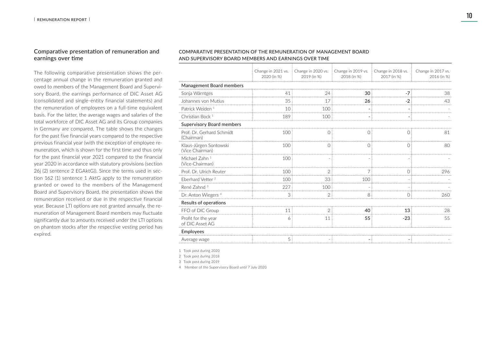#### Comparative presentation of remuneration and earnings over time

The following comparative presentation shows the percentage annual change in the remuneration granted and owed to members of the Management Board and Supervisory Board, the earnings performance of DIC Asset AG (consolidated and single-entity financial statements) and the remuneration of employees on a full-time equivalent basis. For the latter, the average wages and salaries of the total workforce of DIC Asset AG and its Group companies in Germany are compared. The table shows the changes for the past five financial years compared to the respective previous financial year (with the exception of employee remuneration, which is shown for the first time and thus only for the past financial year 2021 compared to the financial year 2020 in accordance with statutory provisions (section 26j (2) sentence 2 EGAktG)). Since the terms used in section 162 (1) sentence 1 AktG apply to the remuneration granted or owed to the members of the Management Board and Supervisory Board, the presentation shows the remuneration received or due in the respective financial year. Because LTI options are not granted annually, the remuneration of Management Board members may fluctuate significantly due to amounts received under the LTI options on phantom stocks after the respective vesting period has expired.

#### COMPARATIVE PRESENTATION OF THE REMUNERATION OF MANAGEMENT BOARD AND SUPERVISORY BOARD MEMBERS AND EARNINGS OVER TIME

|                                              | Change in 2021 vs.<br>2020 (in %) | Change in 2020 vs.<br>2019 (in %) | Change in 2019 vs.<br>2018 (in %) | Change in 2018 vs.<br>2017 (in %) | Change in 2017 vs.<br>2016 (in %) |  |
|----------------------------------------------|-----------------------------------|-----------------------------------|-----------------------------------|-----------------------------------|-----------------------------------|--|
| Management Board members                     |                                   |                                   |                                   |                                   |                                   |  |
| Sonja Wärntges                               | 41                                | 24                                | 30                                | $-7$                              | 38                                |  |
| Johannes von Mutius                          | 35                                | 17                                | 26                                | $-2$                              | 43                                |  |
| Patrick Weiden <sup>1</sup>                  | 10                                | 100                               |                                   |                                   |                                   |  |
| Christian Bock <sup>1</sup>                  | 189                               | 100                               |                                   |                                   |                                   |  |
| <b>Supervisory Board members</b>             |                                   |                                   |                                   |                                   |                                   |  |
| Prof. Dr. Gerhard Schmidt<br>(Chairman)      | 100                               | $\bigcirc$                        | 0                                 | Ω                                 | 81                                |  |
| Klaus-Jürgen Sontowski<br>(Vice Chairman)    | 100                               | $\bigcirc$                        | $\Omega$                          | $\bigcirc$                        | 80                                |  |
| Michael Zahn <sup>1</sup><br>(Vice-Chairman) | 100                               |                                   |                                   |                                   |                                   |  |
| Prof. Dr. Ulrich Reuter                      | 100                               | $\mathfrak{D}$                    | 7                                 | $\bigcap$                         | 296                               |  |
| Eberhard Vetter <sup>2</sup>                 | 100                               | 33                                | 100                               |                                   |                                   |  |
| René Zahnd <sup>3</sup>                      | 227                               | 100                               |                                   |                                   |                                   |  |
| Dr. Anton Wiegers <sup>4</sup>               | 3                                 | $\mathfrak{D}$                    | 8                                 | Ω                                 | 260                               |  |
| Results of operations                        |                                   |                                   |                                   |                                   |                                   |  |
| FFO of DIC Group                             | 11                                | 2                                 | 40                                | 13                                | 28                                |  |
| Profit for the year<br>of DIC Asset AG       | 6                                 | 11                                | 55                                | $-23$                             | 55                                |  |
| Employees                                    |                                   |                                   |                                   |                                   |                                   |  |
| Average wage                                 | 5                                 |                                   |                                   |                                   |                                   |  |
|                                              |                                   |                                   |                                   |                                   |                                   |  |

1 Took post during 2020

2 Took post during 2018

3 Took post during 2019

4 Member of the Supervisory Board until 7 July 2020